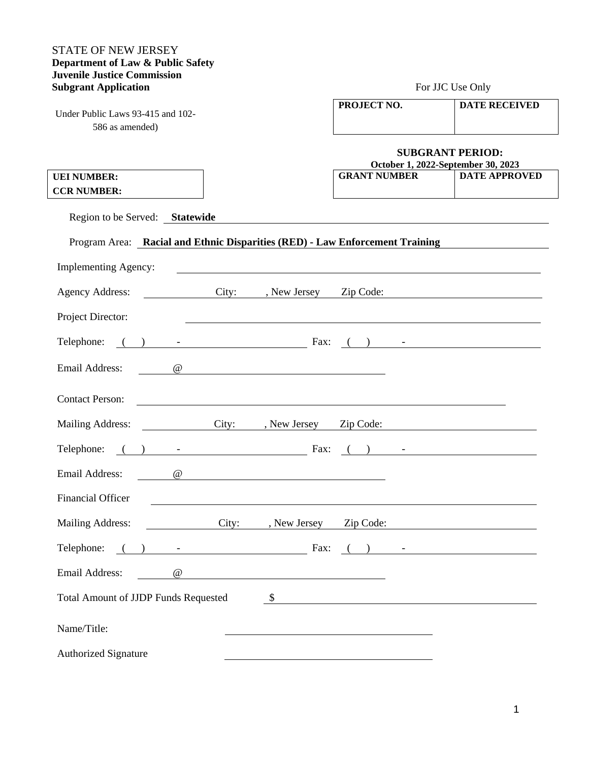### STATE OF NEW JERSEY **Department of Law & Public Safety Juvenile Justice Commission Subgrant Application** For JJC Use Only

Under Public Laws 93-415 and 102- 586 as amended)

| PROJECT NO. | <b>DATE RECEIVED</b> |
|-------------|----------------------|
|             |                      |

#### **SUBGRANT PERIOD:**<br>October 1, 2022-Sentember 30, 21  **October 1, 2022-September 30, 2023**

| October 1, 2022-September 30, 2023 |                      |  |  |  |
|------------------------------------|----------------------|--|--|--|
| <b>GRANT NUMBER</b>                | <b>DATE APPROVED</b> |  |  |  |
|                                    |                      |  |  |  |

**UEI NUMBER: CCR NUMBER:** 

Region to be Served: **Statewide**

## Program Area: **Racial and Ethnic Disparities (RED) - Law Enforcement Training**

| <b>Implementing Agency:</b>                     |          |                      |                                                                                                                  |           |                                                                                                      |  |
|-------------------------------------------------|----------|----------------------|------------------------------------------------------------------------------------------------------------------|-----------|------------------------------------------------------------------------------------------------------|--|
| <b>Agency Address:</b>                          |          | <u>and the state</u> | City: , New Jersey                                                                                               | Zip Code: |                                                                                                      |  |
| Project Director:                               |          |                      |                                                                                                                  |           |                                                                                                      |  |
|                                                 |          |                      | Fax:                                                                                                             |           |                                                                                                      |  |
| <b>Email Address:</b>                           |          | $\omega$             |                                                                                                                  |           |                                                                                                      |  |
| <b>Contact Person:</b>                          |          |                      | and the control of the control of the control of the control of the control of the control of the control of the |           |                                                                                                      |  |
| Mailing Address: City: , New Jersey             |          |                      |                                                                                                                  |           | Zip Code:                                                                                            |  |
| Telephone: $( )$ - $\qquad \qquad$ Fax: $( )$ - |          |                      |                                                                                                                  |           |                                                                                                      |  |
| Email Address:                                  | $\omega$ |                      | <u> 1980 - Jan Stein Stein, fransk politik (f. 1980)</u>                                                         |           |                                                                                                      |  |
| <b>Financial Officer</b>                        |          |                      |                                                                                                                  |           |                                                                                                      |  |
| Mailing Address:                                |          |                      | City: , New Jersey                                                                                               |           | Zip Code:                                                                                            |  |
| Telephone: ( ) -                                |          |                      | Fax:                                                                                                             |           | $\begin{array}{ c c c c c }\hline \text{( ) } & \text{ } & \text{ } & \text{ } \\\hline \end{array}$ |  |
| <b>Email Address:</b>                           |          | $\omega$             | <u> 1980 - John Stein, Amerikaansk politiker (* 1900)</u>                                                        |           |                                                                                                      |  |
| <b>Total Amount of JJDP Funds Requested</b>     |          |                      |                                                                                                                  |           | $\frac{1}{2}$                                                                                        |  |
| Name/Title:                                     |          |                      |                                                                                                                  |           |                                                                                                      |  |
| <b>Authorized Signature</b>                     |          |                      |                                                                                                                  |           |                                                                                                      |  |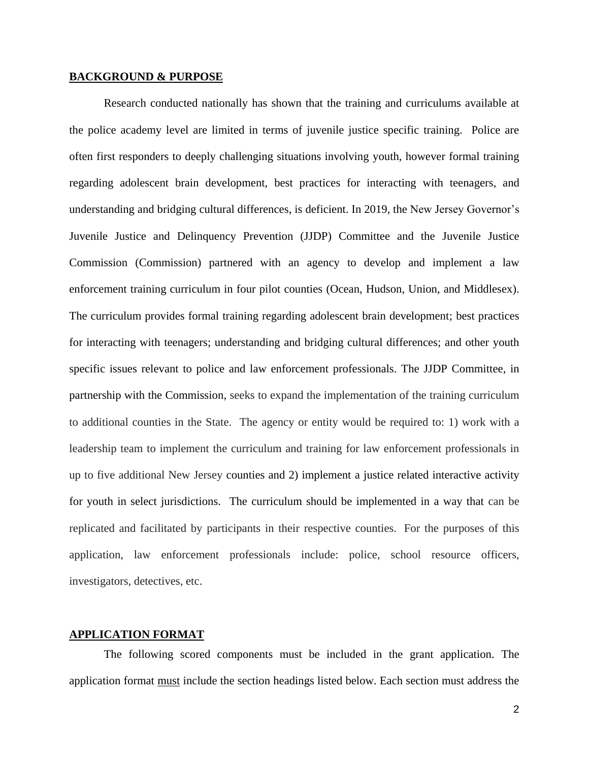#### **BACKGROUND & PURPOSE**

Research conducted nationally has shown that the training and curriculums available at the police academy level are limited in terms of juvenile justice specific training. Police are often first responders to deeply challenging situations involving youth, however formal training regarding adolescent brain development, best practices for interacting with teenagers, and understanding and bridging cultural differences, is deficient. In 2019, the New Jersey Governor's Juvenile Justice and Delinquency Prevention (JJDP) Committee and the Juvenile Justice Commission (Commission) partnered with an agency to develop and implement a law enforcement training curriculum in four pilot counties (Ocean, Hudson, Union, and Middlesex). The curriculum provides formal training regarding adolescent brain development; best practices for interacting with teenagers; understanding and bridging cultural differences; and other youth specific issues relevant to police and law enforcement professionals. The JJDP Committee, in partnership with the Commission, seeks to expand the implementation of the training curriculum to additional counties in the State. The agency or entity would be required to: 1) work with a leadership team to implement the curriculum and training for law enforcement professionals in up to five additional New Jersey counties and 2) implement a justice related interactive activity for youth in select jurisdictions. The curriculum should be implemented in a way that can be replicated and facilitated by participants in their respective counties. For the purposes of this application, law enforcement professionals include: police, school resource officers, investigators, detectives, etc.

### **APPLICATION FORMAT**

The following scored components must be included in the grant application. The application format must include the section headings listed below. Each section must address the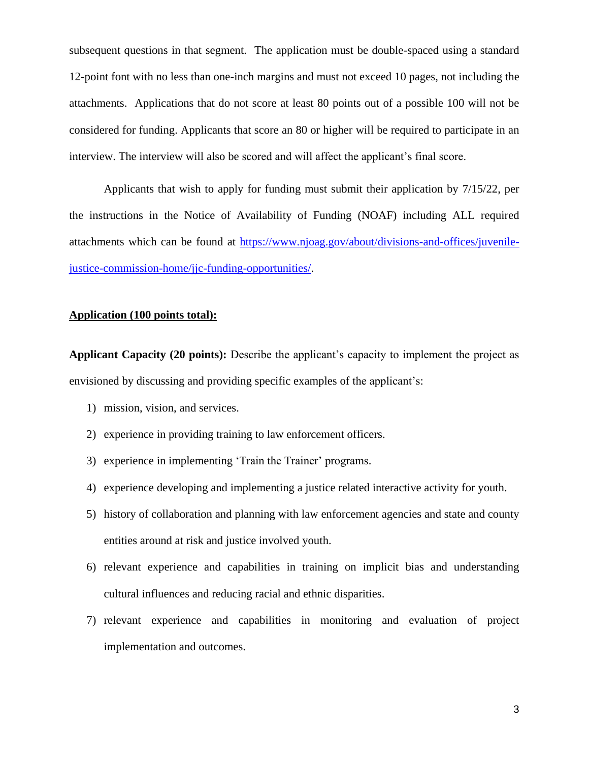subsequent questions in that segment. The application must be double-spaced using a standard 12-point font with no less than one-inch margins and must not exceed 10 pages, not including the attachments. Applications that do not score at least 80 points out of a possible 100 will not be considered for funding. Applicants that score an 80 or higher will be required to participate in an interview. The interview will also be scored and will affect the applicant's final score.

Applicants that wish to apply for funding must submit their application by 7/15/22, per the instructions in the Notice of Availability of Funding (NOAF) including ALL required attachments which can be found at [https://www.njoag.gov/about/divisions-and-offices/juvenile](https://www.njoag.gov/about/divisions-and-offices/juvenile-justice-commission-home/jjc-funding-opportunities/)[justice-commission-home/jjc-funding-opportunities/.](https://www.njoag.gov/about/divisions-and-offices/juvenile-justice-commission-home/jjc-funding-opportunities/)

#### **Application (100 points total):**

**Applicant Capacity (20 points):** Describe the applicant's capacity to implement the project as envisioned by discussing and providing specific examples of the applicant's:

- 1) mission, vision, and services.
- 2) experience in providing training to law enforcement officers.
- 3) experience in implementing 'Train the Trainer' programs.
- 4) experience developing and implementing a justice related interactive activity for youth.
- 5) history of collaboration and planning with law enforcement agencies and state and county entities around at risk and justice involved youth.
- 6) relevant experience and capabilities in training on implicit bias and understanding cultural influences and reducing racial and ethnic disparities.
- 7) relevant experience and capabilities in monitoring and evaluation of project implementation and outcomes.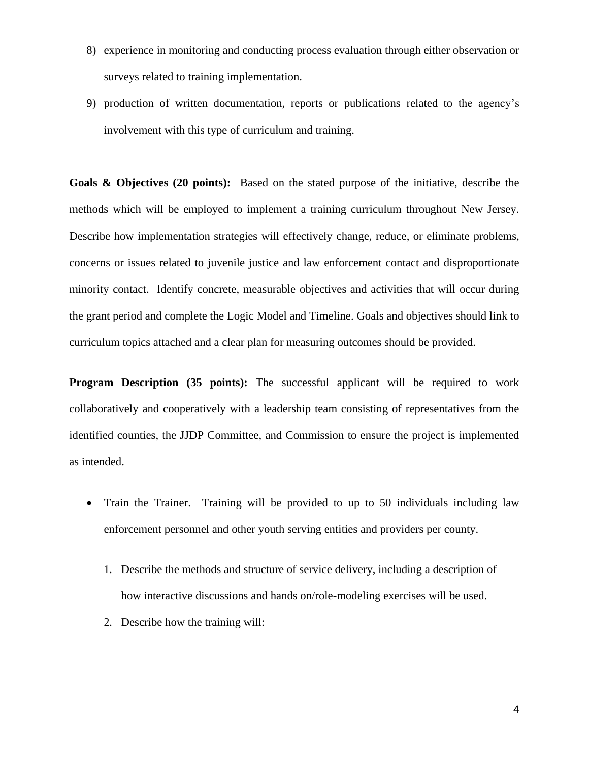- 8) experience in monitoring and conducting process evaluation through either observation or surveys related to training implementation.
- 9) production of written documentation, reports or publications related to the agency's involvement with this type of curriculum and training.

**Goals & Objectives (20 points):** Based on the stated purpose of the initiative, describe the methods which will be employed to implement a training curriculum throughout New Jersey. Describe how implementation strategies will effectively change, reduce, or eliminate problems, concerns or issues related to juvenile justice and law enforcement contact and disproportionate minority contact. Identify concrete, measurable objectives and activities that will occur during the grant period and complete the Logic Model and Timeline. Goals and objectives should link to curriculum topics attached and a clear plan for measuring outcomes should be provided.

**Program Description (35 points):** The successful applicant will be required to work collaboratively and cooperatively with a leadership team consisting of representatives from the identified counties, the JJDP Committee, and Commission to ensure the project is implemented as intended.

- Train the Trainer. Training will be provided to up to 50 individuals including law enforcement personnel and other youth serving entities and providers per county.
	- 1. Describe the methods and structure of service delivery, including a description of how interactive discussions and hands on/role-modeling exercises will be used.
	- 2. Describe how the training will: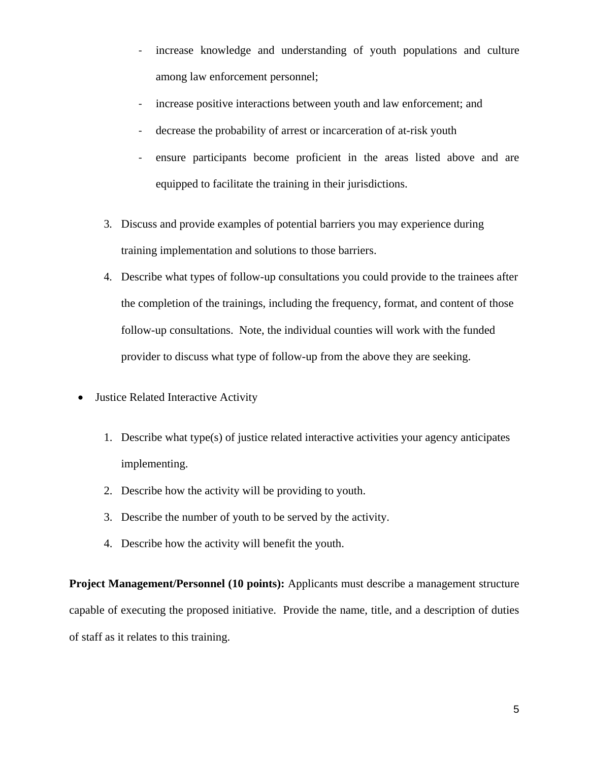- increase knowledge and understanding of youth populations and culture among law enforcement personnel;
- increase positive interactions between youth and law enforcement; and
- decrease the probability of arrest or incarceration of at-risk youth
- ensure participants become proficient in the areas listed above and are equipped to facilitate the training in their jurisdictions.
- 3. Discuss and provide examples of potential barriers you may experience during training implementation and solutions to those barriers.
- 4. Describe what types of follow-up consultations you could provide to the trainees after the completion of the trainings, including the frequency, format, and content of those follow-up consultations. Note, the individual counties will work with the funded provider to discuss what type of follow-up from the above they are seeking.
- Justice Related Interactive Activity
	- 1. Describe what type(s) of justice related interactive activities your agency anticipates implementing.
	- 2. Describe how the activity will be providing to youth.
	- 3. Describe the number of youth to be served by the activity.
	- 4. Describe how the activity will benefit the youth.

**Project Management/Personnel (10 points):** Applicants must describe a management structure capable of executing the proposed initiative. Provide the name, title, and a description of duties of staff as it relates to this training.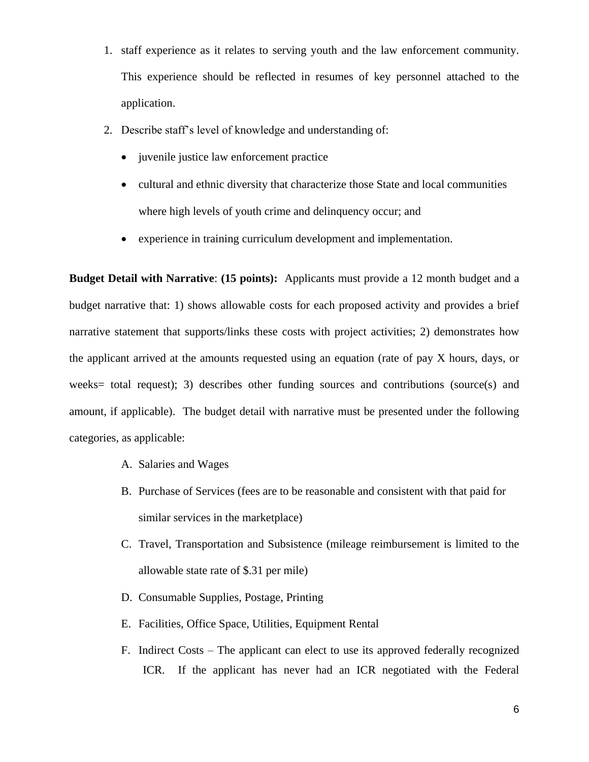- 1. staff experience as it relates to serving youth and the law enforcement community. This experience should be reflected in resumes of key personnel attached to the application.
- 2. Describe staff's level of knowledge and understanding of:
	- juvenile justice law enforcement practice
	- cultural and ethnic diversity that characterize those State and local communities where high levels of youth crime and delinquency occur; and
	- experience in training curriculum development and implementation.

**Budget Detail with Narrative**: **(15 points):** Applicants must provide a 12 month budget and a budget narrative that: 1) shows allowable costs for each proposed activity and provides a brief narrative statement that supports/links these costs with project activities; 2) demonstrates how the applicant arrived at the amounts requested using an equation (rate of pay X hours, days, or weeks= total request); 3) describes other funding sources and contributions (source(s) and amount, if applicable). The budget detail with narrative must be presented under the following categories, as applicable:

- A. Salaries and Wages
- B. Purchase of Services (fees are to be reasonable and consistent with that paid for similar services in the marketplace)
- C. Travel, Transportation and Subsistence (mileage reimbursement is limited to the allowable state rate of \$.31 per mile)
- D. Consumable Supplies, Postage, Printing
- E. Facilities, Office Space, Utilities, Equipment Rental
- F. Indirect Costs The applicant can elect to use its approved federally recognized ICR. If the applicant has never had an ICR negotiated with the Federal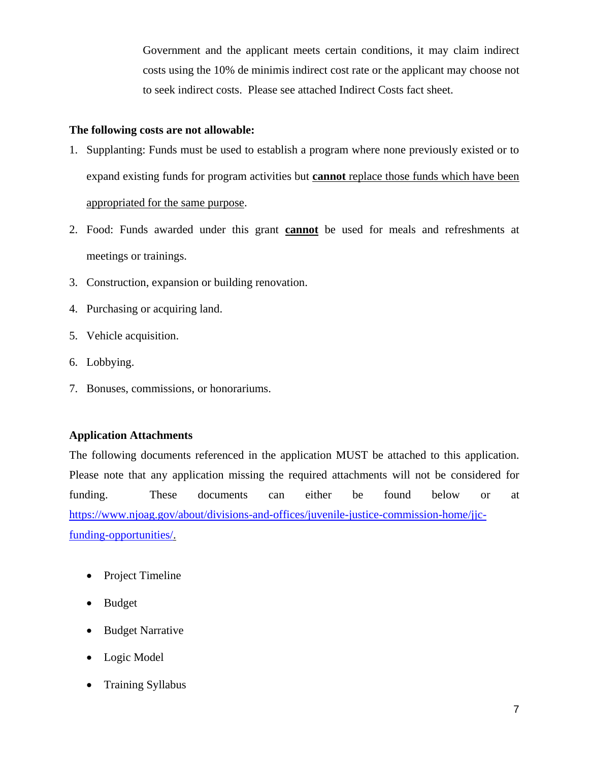Government and the applicant meets certain conditions, it may claim indirect costs using the 10% de minimis indirect cost rate or the applicant may choose not to seek indirect costs. Please see attached Indirect Costs fact sheet.

## **The following costs are not allowable:**

- 1. Supplanting: Funds must be used to establish a program where none previously existed or to expand existing funds for program activities but **cannot** replace those funds which have been appropriated for the same purpose.
- 2. Food: Funds awarded under this grant **cannot** be used for meals and refreshments at meetings or trainings.
- 3. Construction, expansion or building renovation.
- 4. Purchasing or acquiring land.
- 5. Vehicle acquisition.
- 6. Lobbying.
- 7. Bonuses, commissions, or honorariums.

### **Application Attachments**

The following documents referenced in the application MUST be attached to this application. Please note that any application missing the required attachments will not be considered for funding. These documents can either be found below or at [https://www.njoag.gov/about/divisions-and-offices/juvenile-justice-commission-home/jjc](https://www.njoag.gov/about/divisions-and-offices/juvenile-justice-commission-home/jjc-funding-opportunities/)[funding-opportunities/.](https://www.njoag.gov/about/divisions-and-offices/juvenile-justice-commission-home/jjc-funding-opportunities/)

- Project Timeline
- Budget
- Budget Narrative
- Logic Model
- Training Syllabus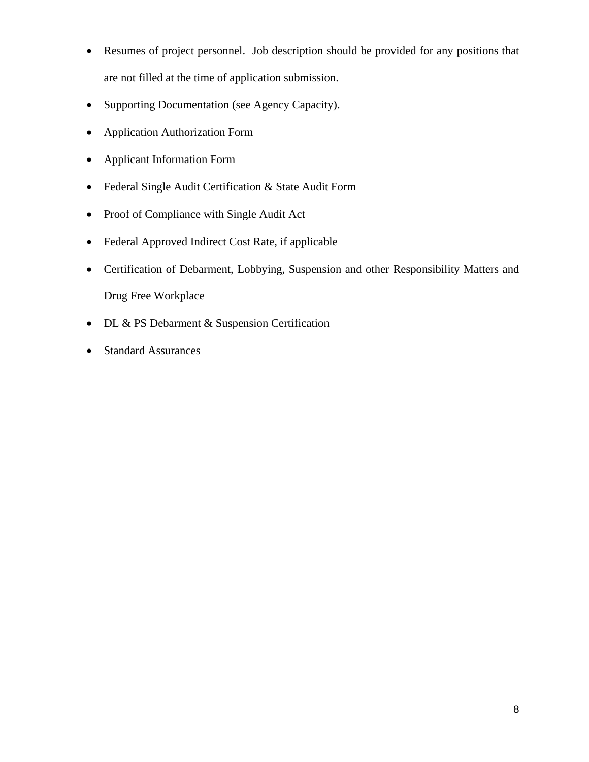- Resumes of project personnel. Job description should be provided for any positions that are not filled at the time of application submission.
- Supporting Documentation (see Agency Capacity).
- Application Authorization Form
- Applicant Information Form
- Federal Single Audit Certification & State Audit Form
- Proof of Compliance with Single Audit Act
- Federal Approved Indirect Cost Rate, if applicable
- Certification of Debarment, Lobbying, Suspension and other Responsibility Matters and Drug Free Workplace
- DL & PS Debarment & Suspension Certification
- Standard Assurances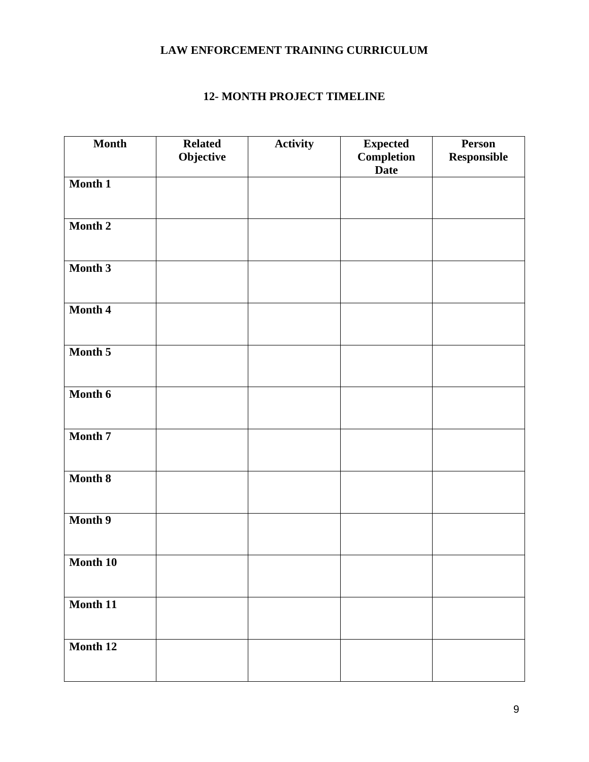# **LAW ENFORCEMENT TRAINING CURRICULUM**

## **12- MONTH PROJECT TIMELINE**

| <b>Month</b> | <b>Related</b><br>Objective | <b>Activity</b> | <b>Expected</b><br>Completion<br><b>Date</b> | <b>Person</b><br>Responsible |
|--------------|-----------------------------|-----------------|----------------------------------------------|------------------------------|
| Month 1      |                             |                 |                                              |                              |
| Month 2      |                             |                 |                                              |                              |
| Month 3      |                             |                 |                                              |                              |
| Month 4      |                             |                 |                                              |                              |
| Month 5      |                             |                 |                                              |                              |
| Month 6      |                             |                 |                                              |                              |
| Month 7      |                             |                 |                                              |                              |
| Month 8      |                             |                 |                                              |                              |
| Month 9      |                             |                 |                                              |                              |
| Month 10     |                             |                 |                                              |                              |
| Month 11     |                             |                 |                                              |                              |
| Month 12     |                             |                 |                                              |                              |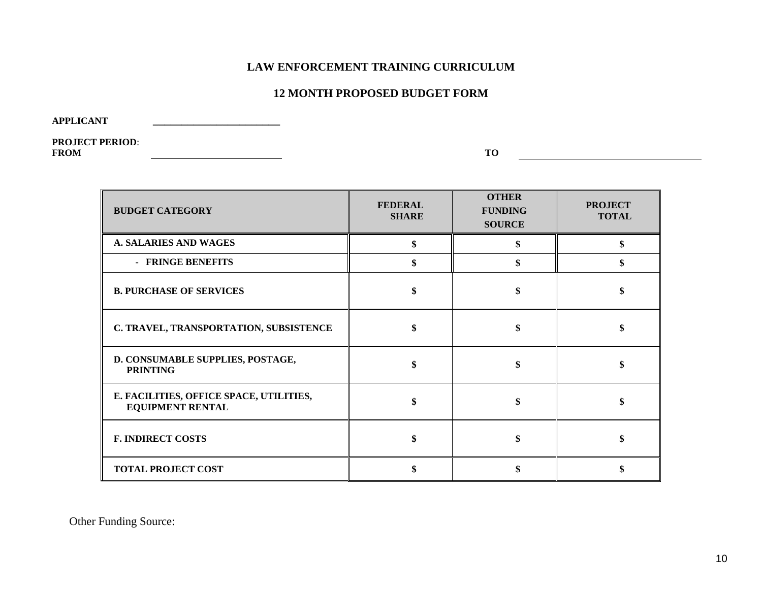## **LAW ENFORCEMENT TRAINING CURRICULUM**

## **12 MONTH PROPOSED BUDGET FORM**

**APPLICANT \_\_\_\_\_\_\_\_\_\_\_\_\_\_\_\_\_\_\_\_\_\_**

**PROJECT PERIOD**: **FROM TO**

| <b>BUDGET CATEGORY</b>                                             | <b>FEDERAL</b><br><b>SHARE</b> | <b>OTHER</b><br><b>FUNDING</b><br><b>SOURCE</b> | <b>PROJECT</b><br><b>TOTAL</b> |
|--------------------------------------------------------------------|--------------------------------|-------------------------------------------------|--------------------------------|
| <b>A. SALARIES AND WAGES</b>                                       |                                |                                                 | \$                             |
| - FRINGE BENEFITS                                                  |                                |                                                 | \$                             |
| <b>B. PURCHASE OF SERVICES</b>                                     |                                |                                                 |                                |
| C. TRAVEL, TRANSPORTATION, SUBSISTENCE                             |                                |                                                 |                                |
| D. CONSUMABLE SUPPLIES, POSTAGE,<br><b>PRINTING</b>                |                                |                                                 |                                |
| E. FACILITIES, OFFICE SPACE, UTILITIES,<br><b>EQUIPMENT RENTAL</b> |                                |                                                 |                                |
| <b>F. INDIRECT COSTS</b>                                           |                                |                                                 |                                |
| <b>TOTAL PROJECT COST</b>                                          |                                |                                                 |                                |

Other Funding Source: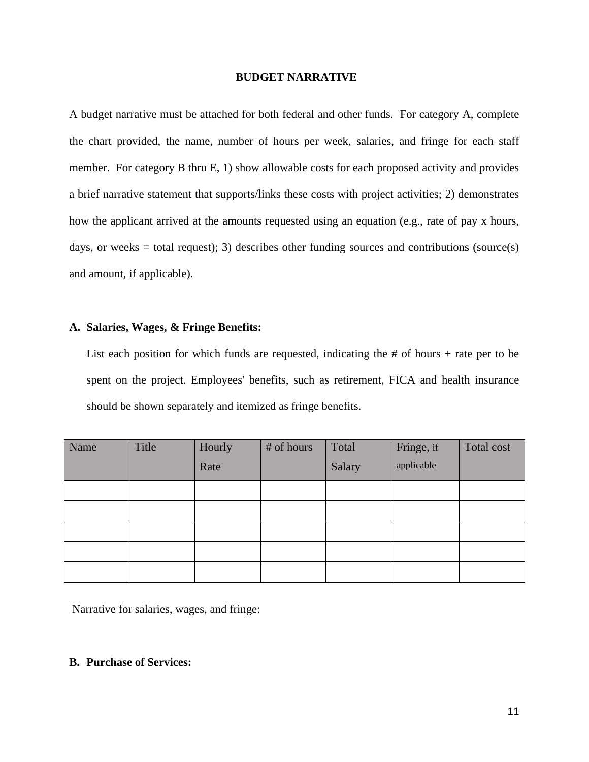#### **BUDGET NARRATIVE**

A budget narrative must be attached for both federal and other funds. For category A, complete the chart provided, the name, number of hours per week, salaries, and fringe for each staff member. For category B thru E, 1) show allowable costs for each proposed activity and provides a brief narrative statement that supports/links these costs with project activities; 2) demonstrates how the applicant arrived at the amounts requested using an equation (e.g., rate of pay x hours, days, or weeks = total request); 3) describes other funding sources and contributions (source(s) and amount, if applicable).

### **A. Salaries, Wages, & Fringe Benefits:**

List each position for which funds are requested, indicating the  $#$  of hours  $+$  rate per to be spent on the project. Employees' benefits, such as retirement, FICA and health insurance should be shown separately and itemized as fringe benefits.

| Name | Title | Hourly | # of hours | Total  | Fringe, if | Total cost |
|------|-------|--------|------------|--------|------------|------------|
|      |       | Rate   |            | Salary | applicable |            |
|      |       |        |            |        |            |            |
|      |       |        |            |        |            |            |
|      |       |        |            |        |            |            |
|      |       |        |            |        |            |            |
|      |       |        |            |        |            |            |

Narrative for salaries, wages, and fringe:

### **B. Purchase of Services:**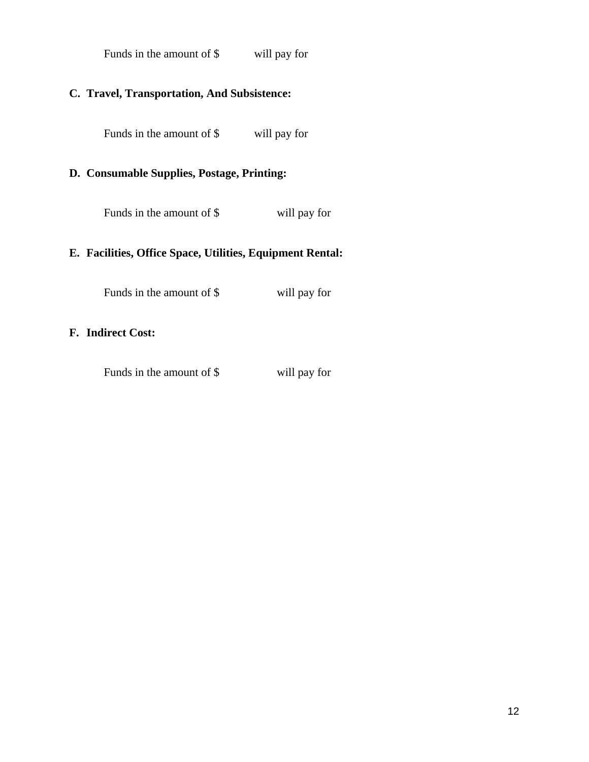| Funds in the amount of \$ | will pay for |
|---------------------------|--------------|
|---------------------------|--------------|

# **C. Travel, Transportation, And Subsistence:**

Funds in the amount of \$ will pay for

## **D. Consumable Supplies, Postage, Printing:**

Funds in the amount of \$ will pay for

## **E. Facilities, Office Space, Utilities, Equipment Rental:**

Funds in the amount of \$ will pay for

### **F. Indirect Cost:**

Funds in the amount of \$ will pay for